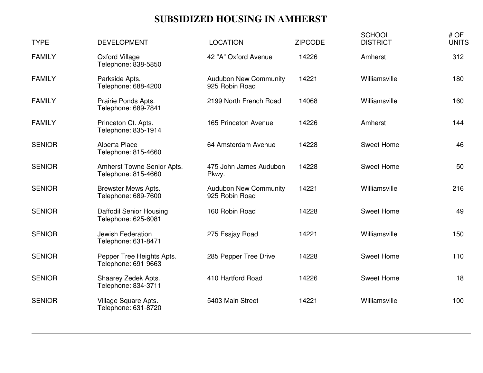# **SUBSIDIZED HOUSING IN AMHERST**

| <b>TYPE</b>   | <b>DEVELOPMENT</b>                                | <b>LOCATION</b>                                | <b>ZIPCODE</b> | <b>SCHOOL</b><br><b>DISTRICT</b> | # OF<br><b>UNITS</b> |
|---------------|---------------------------------------------------|------------------------------------------------|----------------|----------------------------------|----------------------|
| <b>FAMILY</b> | <b>Oxford Village</b><br>Telephone: 838-5850      | 42 "A" Oxford Avenue                           | 14226          | Amherst                          | 312                  |
| <b>FAMILY</b> | Parkside Apts.<br>Telephone: 688-4200             | <b>Audubon New Community</b><br>925 Robin Road | 14221          | Williamsville                    | 180                  |
| <b>FAMILY</b> | Prairie Ponds Apts.<br>Telephone: 689-7841        | 2199 North French Road                         | 14068          | Williamsville                    | 160                  |
| <b>FAMILY</b> | Princeton Ct. Apts.<br>Telephone: 835-1914        | 165 Princeton Avenue                           | 14226          | Amherst                          | 144                  |
| <b>SENIOR</b> | Alberta Place<br>Telephone: 815-4660              | 64 Amsterdam Avenue                            | 14228          | Sweet Home                       | 46                   |
| <b>SENIOR</b> | Amherst Towne Senior Apts.<br>Telephone: 815-4660 | 475 John James Audubon<br>Pkwy.                | 14228          | Sweet Home                       | 50                   |
| <b>SENIOR</b> | <b>Brewster Mews Apts.</b><br>Telephone: 689-7600 | <b>Audubon New Community</b><br>925 Robin Road | 14221          | Williamsville                    | 216                  |
| <b>SENIOR</b> | Daffodil Senior Housing<br>Telephone: 625-6081    | 160 Robin Road                                 | 14228          | Sweet Home                       | 49                   |
| <b>SENIOR</b> | Jewish Federation<br>Telephone: 631-8471          | 275 Essjay Road                                | 14221          | Williamsville                    | 150                  |
| <b>SENIOR</b> | Pepper Tree Heights Apts.<br>Telephone: 691-9663  | 285 Pepper Tree Drive                          | 14228          | <b>Sweet Home</b>                | 110                  |
| <b>SENIOR</b> | Shaarey Zedek Apts.<br>Telephone: 834-3711        | 410 Hartford Road                              | 14226          | Sweet Home                       | 18                   |
| <b>SENIOR</b> | Village Square Apts.<br>Telephone: 631-8720       | 5403 Main Street                               | 14221          | Williamsville                    | 100                  |